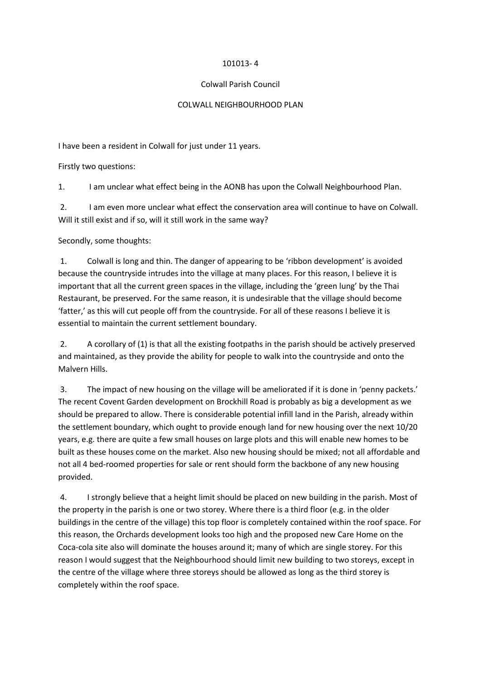## 101013- 4

## Colwall Parish Council

## COLWALL NEIGHBOURHOOD PLAN

I have been a resident in Colwall for just under 11 years.

Firstly two questions:

1. I am unclear what effect being in the AONB has upon the Colwall Neighbourhood Plan.

2. I am even more unclear what effect the conservation area will continue to have on Colwall. Will it still exist and if so, will it still work in the same way?

Secondly, some thoughts:

1. Colwall is long and thin. The danger of appearing to be 'ribbon development' is avoided because the countryside intrudes into the village at many places. For this reason, I believe it is important that all the current green spaces in the village, including the 'green lung' by the Thai Restaurant, be preserved. For the same reason, it is undesirable that the village should become 'fatter,' as this will cut people off from the countryside. For all of these reasons I believe it is essential to maintain the current settlement boundary.

2. A corollary of (1) is that all the existing footpaths in the parish should be actively preserved and maintained, as they provide the ability for people to walk into the countryside and onto the Malvern Hills.

3. The impact of new housing on the village will be ameliorated if it is done in 'penny packets.' The recent Covent Garden development on Brockhill Road is probably as big a development as we should be prepared to allow. There is considerable potential infill land in the Parish, already within the settlement boundary, which ought to provide enough land for new housing over the next 10/20 years, e.g. there are quite a few small houses on large plots and this will enable new homes to be built as these houses come on the market. Also new housing should be mixed; not all affordable and not all 4 bed-roomed properties for sale or rent should form the backbone of any new housing provided.

4. I strongly believe that a height limit should be placed on new building in the parish. Most of the property in the parish is one or two storey. Where there is a third floor (e.g. in the older buildings in the centre of the village) this top floor is completely contained within the roof space. For this reason, the Orchards development looks too high and the proposed new Care Home on the Coca-cola site also will dominate the houses around it; many of which are single storey. For this reason I would suggest that the Neighbourhood should limit new building to two storeys, except in the centre of the village where three storeys should be allowed as long as the third storey is completely within the roof space.